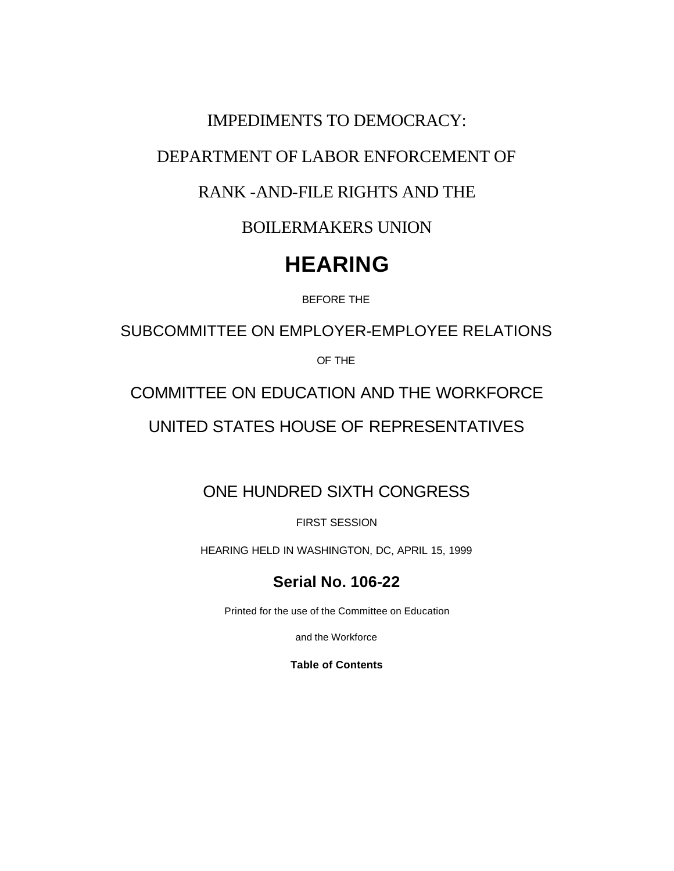DEPARTMENT OF LABOR ENFORCEMENT OF

IMPEDIMENTS TO DEMOCRACY:

### RANK -AND-FILE RIGHTS AND THE

BOILERMAKERS UNION

## **HEARING**

BEFORE THE

SUBCOMMITTEE ON EMPLOYER-EMPLOYEE RELATIONS

OF THE

COMMITTEE ON EDUCATION AND THE WORKFORCE

UNITED STATES HOUSE OF REPRESENTATIVES

## ONE HUNDRED SIXTH CONGRESS

FIRST SESSION

HEARING HELD IN WASHINGTON, DC, APRIL 15, 1999

## **Serial No. 106-22**

Printed for the use of the Committee on Education

and the Workforce

**Table of Contents**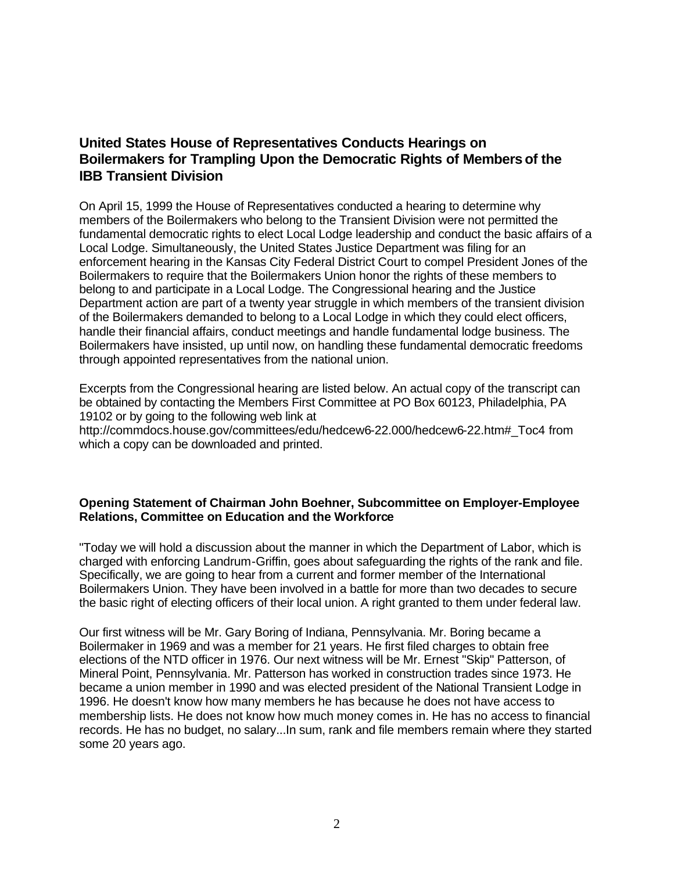### **United States House of Representatives Conducts Hearings on Boilermakers for Trampling Upon the Democratic Rights of Members of the IBB Transient Division**

On April 15, 1999 the House of Representatives conducted a hearing to determine why members of the Boilermakers who belong to the Transient Division were not permitted the fundamental democratic rights to elect Local Lodge leadership and conduct the basic affairs of a Local Lodge. Simultaneously, the United States Justice Department was filing for an enforcement hearing in the Kansas City Federal District Court to compel President Jones of the Boilermakers to require that the Boilermakers Union honor the rights of these members to belong to and participate in a Local Lodge. The Congressional hearing and the Justice Department action are part of a twenty year struggle in which members of the transient division of the Boilermakers demanded to belong to a Local Lodge in which they could elect officers, handle their financial affairs, conduct meetings and handle fundamental lodge business. The Boilermakers have insisted, up until now, on handling these fundamental democratic freedoms through appointed representatives from the national union.

Excerpts from the Congressional hearing are listed below. An actual copy of the transcript can be obtained by contacting the Members First Committee at PO Box 60123, Philadelphia, PA 19102 or by going to the following web link at http://commdocs.house.gov/committees/edu/hedcew6-22.000/hedcew6-22.htm#\_Toc4 from which a copy can be downloaded and printed.

#### **Opening Statement of Chairman John Boehner, Subcommittee on Employer-Employee Relations, Committee on Education and the Workforce**

"Today we will hold a discussion about the manner in which the Department of Labor, which is charged with enforcing Landrum-Griffin, goes about safeguarding the rights of the rank and file. Specifically, we are going to hear from a current and former member of the International Boilermakers Union. They have been involved in a battle for more than two decades to secure the basic right of electing officers of their local union. A right granted to them under federal law.

Our first witness will be Mr. Gary Boring of Indiana, Pennsylvania. Mr. Boring became a Boilermaker in 1969 and was a member for 21 years. He first filed charges to obtain free elections of the NTD officer in 1976. Our next witness will be Mr. Ernest "Skip" Patterson, of Mineral Point, Pennsylvania. Mr. Patterson has worked in construction trades since 1973. He became a union member in 1990 and was elected president of the National Transient Lodge in 1996. He doesn't know how many members he has because he does not have access to membership lists. He does not know how much money comes in. He has no access to financial records. He has no budget, no salary...In sum, rank and file members remain where they started some 20 years ago.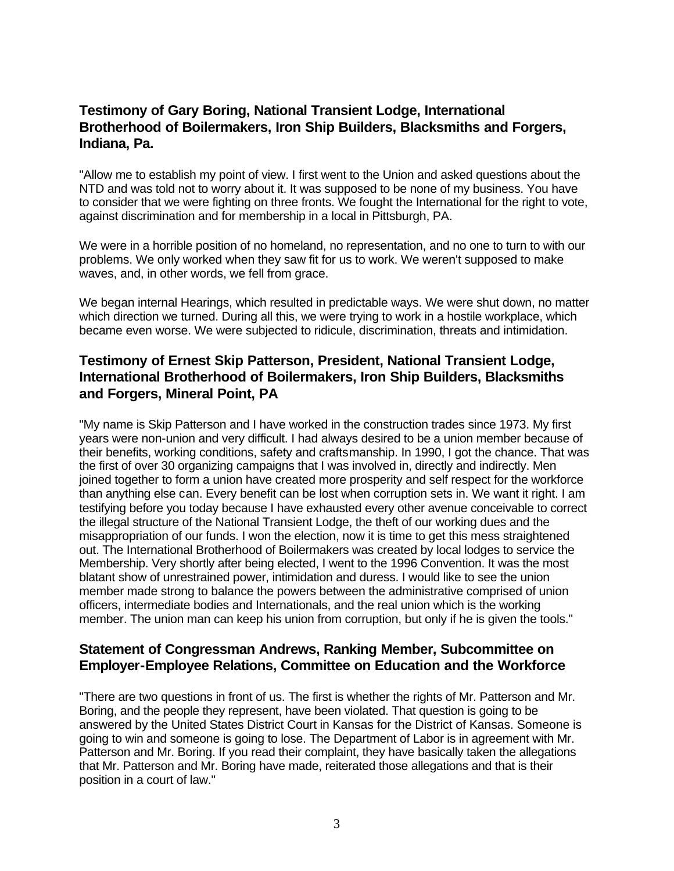#### **Testimony of Gary Boring, National Transient Lodge, International Brotherhood of Boilermakers, Iron Ship Builders, Blacksmiths and Forgers, Indiana, Pa.**

"Allow me to establish my point of view. I first went to the Union and asked questions about the NTD and was told not to worry about it. It was supposed to be none of my business. You have to consider that we were fighting on three fronts. We fought the International for the right to vote, against discrimination and for membership in a local in Pittsburgh, PA.

We were in a horrible position of no homeland, no representation, and no one to turn to with our problems. We only worked when they saw fit for us to work. We weren't supposed to make waves, and, in other words, we fell from grace.

We began internal Hearings, which resulted in predictable ways. We were shut down, no matter which direction we turned. During all this, we were trying to work in a hostile workplace, which became even worse. We were subjected to ridicule, discrimination, threats and intimidation.

### **Testimony of Ernest Skip Patterson, President, National Transient Lodge, International Brotherhood of Boilermakers, Iron Ship Builders, Blacksmiths and Forgers, Mineral Point, PA**

"My name is Skip Patterson and I have worked in the construction trades since 1973. My first years were non-union and very difficult. I had always desired to be a union member because of their benefits, working conditions, safety and craftsmanship. In 1990, I got the chance. That was the first of over 30 organizing campaigns that I was involved in, directly and indirectly. Men joined together to form a union have created more prosperity and self respect for the workforce than anything else can. Every benefit can be lost when corruption sets in. We want it right. I am testifying before you today because I have exhausted every other avenue conceivable to correct the illegal structure of the National Transient Lodge, the theft of our working dues and the misappropriation of our funds. I won the election, now it is time to get this mess straightened out. The International Brotherhood of Boilermakers was created by local lodges to service the Membership. Very shortly after being elected, I went to the 1996 Convention. It was the most blatant show of unrestrained power, intimidation and duress. I would like to see the union member made strong to balance the powers between the administrative comprised of union officers, intermediate bodies and Internationals, and the real union which is the working member. The union man can keep his union from corruption, but only if he is given the tools."

#### **Statement of Congressman Andrews, Ranking Member, Subcommittee on Employer-Employee Relations, Committee on Education and the Workforce**

"There are two questions in front of us. The first is whether the rights of Mr. Patterson and Mr. Boring, and the people they represent, have been violated. That question is going to be answered by the United States District Court in Kansas for the District of Kansas. Someone is going to win and someone is going to lose. The Department of Labor is in agreement with Mr. Patterson and Mr. Boring. If you read their complaint, they have basically taken the allegations that Mr. Patterson and Mr. Boring have made, reiterated those allegations and that is their position in a court of law."